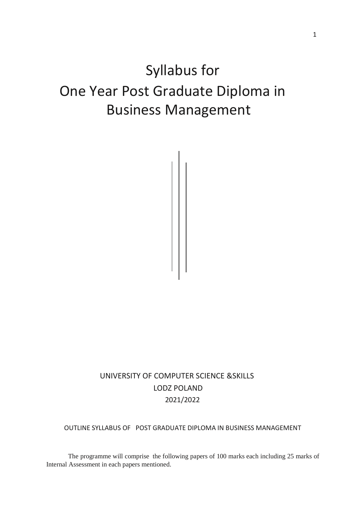# Syllabus for One Year Post Graduate Diploma in Business Management



OUTLINE SYLLABUS OF POST GRADUATE DIPLOMA IN BUSINESS MANAGEMENT

The programme will comprise the following papers of 100 marks each including 25 marks of Internal Assessment in each papers mentioned.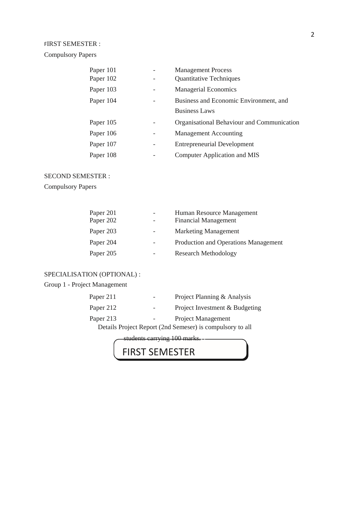#### FIRST SEMESTER :

Compulsory Papers

| Paper 101 | <b>Management Process</b>                  |
|-----------|--------------------------------------------|
| Paper 102 | <b>Quantitative Techniques</b>             |
| Paper 103 | <b>Managerial Economics</b>                |
| Paper 104 | Business and Economic Environment, and     |
|           | <b>Business Laws</b>                       |
| Paper 105 | Organisational Behaviour and Communication |
| Paper 106 | <b>Management Accounting</b>               |
| Paper 107 | <b>Entrepreneurial Development</b>         |
| Paper 108 | <b>Computer Application and MIS</b>        |

#### SECOND SEMESTER :

Compulsory Papers

| Paper 201 |                          | Human Resource Management            |
|-----------|--------------------------|--------------------------------------|
| Paper 202 | $\overline{\phantom{0}}$ | <b>Financial Management</b>          |
| Paper 203 | $\overline{\phantom{0}}$ | <b>Marketing Management</b>          |
| Paper 204 |                          | Production and Operations Management |
| Paper 205 | -                        | <b>Research Methodology</b>          |

#### SPECIALISATION (OPTIONAL) :

### Group 1 - Project Management

| Paper 211 | Project Planning & Analysis                               |
|-----------|-----------------------------------------------------------|
| Paper 212 | Project Investment & Budgeting                            |
| Paper 213 | Project Management                                        |
|           | Details Project Report (2nd Semeser) is compulsory to all |

students carrying 100 marks.

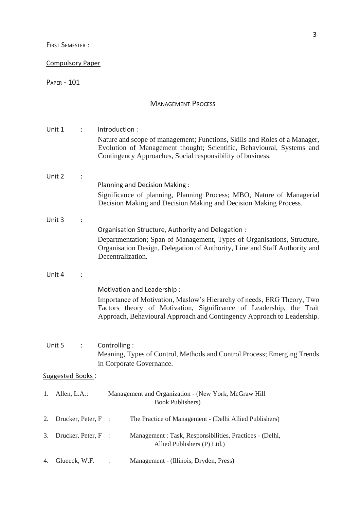FIRST SEMESTER :

#### Compulsory Paper

PAPER - 101

### MANAGEMENT PROCESS

|    | Unit 1              | $\mathbb{R}^{\mathbb{Z}}$ | Introduction:                                                                                                                                                                                                           |  |  |  |  |
|----|---------------------|---------------------------|-------------------------------------------------------------------------------------------------------------------------------------------------------------------------------------------------------------------------|--|--|--|--|
|    |                     |                           | Nature and scope of management; Functions, Skills and Roles of a Manager,<br>Evolution of Management thought; Scientific, Behavioural, Systems and                                                                      |  |  |  |  |
|    |                     |                           | Contingency Approaches, Social responsibility of business.                                                                                                                                                              |  |  |  |  |
|    | Unit 2              |                           |                                                                                                                                                                                                                         |  |  |  |  |
|    |                     |                           | Planning and Decision Making:                                                                                                                                                                                           |  |  |  |  |
|    |                     |                           | Significance of planning, Planning Process; MBO, Nature of Managerial<br>Decision Making and Decision Making and Decision Making Process.                                                                               |  |  |  |  |
|    | Unit 3              |                           |                                                                                                                                                                                                                         |  |  |  |  |
|    |                     |                           | Organisation Structure, Authority and Delegation:                                                                                                                                                                       |  |  |  |  |
|    |                     |                           | Departmentation; Span of Management, Types of Organisations, Structure,<br>Organisation Design, Delegation of Authority, Line and Staff Authority and<br>Decentralization.                                              |  |  |  |  |
|    |                     |                           |                                                                                                                                                                                                                         |  |  |  |  |
|    | Unit 4              |                           |                                                                                                                                                                                                                         |  |  |  |  |
|    |                     |                           | Motivation and Leadership:                                                                                                                                                                                              |  |  |  |  |
|    |                     |                           | Importance of Motivation, Maslow's Hierarchy of needs, ERG Theory, Two<br>Factors theory of Motivation, Significance of Leadership, the Trait<br>Approach, Behavioural Approach and Contingency Approach to Leadership. |  |  |  |  |
|    |                     |                           |                                                                                                                                                                                                                         |  |  |  |  |
|    | Unit 5              |                           | Controlling:<br>Meaning, Types of Control, Methods and Control Process; Emerging Trends                                                                                                                                 |  |  |  |  |
|    |                     |                           | in Corporate Governance.                                                                                                                                                                                                |  |  |  |  |
|    | Suggested Books:    |                           |                                                                                                                                                                                                                         |  |  |  |  |
|    | 1. Allen, L.A.:     |                           | Management and Organization - (New York, McGraw Hill<br><b>Book Publishers</b> )                                                                                                                                        |  |  |  |  |
| 2. | Drucker, Peter, F : |                           | The Practice of Management - (Delhi Allied Publishers)                                                                                                                                                                  |  |  |  |  |
| 3. | Drucker, Peter, F : |                           | Management : Task, Responsibilities, Practices - (Delhi,<br>Allied Publishers (P) Ltd.)                                                                                                                                 |  |  |  |  |
| 4. | Glueeck, W.F.       |                           | Management - (Illinois, Dryden, Press)                                                                                                                                                                                  |  |  |  |  |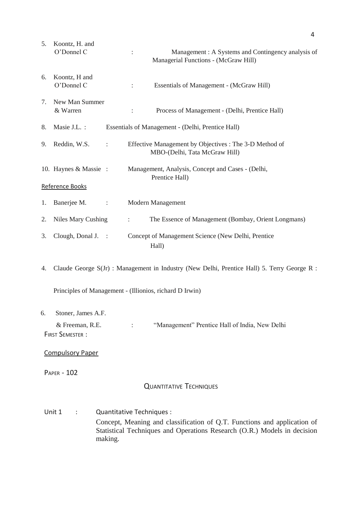| 5. | Koontz, H. and<br>O'Donnel C |                | Management: A Systems and Contingency analysis of<br>$\ddot{\cdot}$<br>Managerial Functions - (McGraw Hill) |
|----|------------------------------|----------------|-------------------------------------------------------------------------------------------------------------|
| 6. | Koontz, H and<br>O'Donnel C  |                | Essentials of Management - (McGraw Hill)<br>$\ddot{\cdot}$                                                  |
| 7. | New Man Summer<br>& Warren   |                | Process of Management - (Delhi, Prentice Hall)<br>$\ddot{\phantom{a}}$                                      |
| 8. | Masie J.L. :                 |                | Essentials of Management - (Delhi, Prentice Hall)                                                           |
| 9. | Reddin, W.S.                 | ÷              | Effective Management by Objectives : The 3-D Method of<br>MBO-(Delhi, Tata McGraw Hill)                     |
|    | 10. Haynes & Massie :        |                | Management, Analysis, Concept and Cases - (Delhi,<br>Prentice Hall)                                         |
|    | Reference Books              |                |                                                                                                             |
| 1. | Banerjee M.                  | $\ddot{\cdot}$ | Modern Management                                                                                           |
| 2. | Niles Mary Cushing           |                | The Essence of Management (Bombay, Orient Longmans)<br>$\ddot{\phantom{0}}$                                 |
| 3. | Clough, Donal J.             | $\sim$ 1       | Concept of Management Science (New Delhi, Prentice<br>Hall)                                                 |
| 4. |                              |                | Claude George S(Jr) : Management in Industry (New Delhi, Prentice Hall) 5. Terry George R :                 |

Principles of Management - (Illionios, richard D Irwin)

#### 6. Stoner, James A.F.

& Freeman, R.E. : "Management" Prentice Hall of India, New Delhi FIRST SEMESTER :

#### Compulsory Paper

PAPER - 102

#### QUANTITATIVE TECHNIQUES

Unit 1 : Quantitative Techniques : Concept, Meaning and classification of Q.T. Functions and application of Statistical Techniques and Operations Research (O.R.) Models in decision making.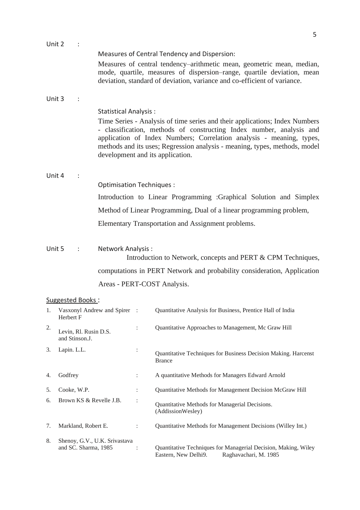| Unit 2 |                  |                                         |                                 |                |                                                                                                                                                                                                                                                                                                                                               |
|--------|------------------|-----------------------------------------|---------------------------------|----------------|-----------------------------------------------------------------------------------------------------------------------------------------------------------------------------------------------------------------------------------------------------------------------------------------------------------------------------------------------|
|        |                  |                                         |                                 |                | Measures of Central Tendency and Dispersion:<br>Measures of central tendency-arithmetic mean, geometric mean, median,<br>mode, quartile, measures of dispersion-range, quartile deviation, mean<br>deviation, standard of deviation, variance and co-efficient of variance.                                                                   |
| Unit 3 |                  | $\ddot{\phantom{a}}$                    |                                 |                |                                                                                                                                                                                                                                                                                                                                               |
|        |                  |                                         | <b>Statistical Analysis:</b>    |                | Time Series - Analysis of time series and their applications; Index Numbers<br>- classification, methods of constructing Index number, analysis and<br>application of Index Numbers; Correlation analysis - meaning, types,<br>methods and its uses; Regression analysis - meaning, types, methods, model<br>development and its application. |
| Unit 4 |                  |                                         |                                 |                |                                                                                                                                                                                                                                                                                                                                               |
|        |                  |                                         | <b>Optimisation Techniques:</b> |                |                                                                                                                                                                                                                                                                                                                                               |
|        |                  |                                         |                                 |                | Introduction to Linear Programming :Graphical Solution and Simplex                                                                                                                                                                                                                                                                            |
|        |                  |                                         |                                 |                | Method of Linear Programming, Dual of a linear programming problem,                                                                                                                                                                                                                                                                           |
|        |                  |                                         |                                 |                | Elementary Transportation and Assignment problems.                                                                                                                                                                                                                                                                                            |
| Unit 5 | $\sim$ 100 $\pm$ |                                         | Network Analysis:               |                | Introduction to Network, concepts and PERT & CPM Techniques,                                                                                                                                                                                                                                                                                  |
|        |                  |                                         |                                 |                | computations in PERT Network and probability consideration, Application                                                                                                                                                                                                                                                                       |
|        |                  |                                         | Areas - PERT-COST Analysis.     |                |                                                                                                                                                                                                                                                                                                                                               |
|        |                  | Suggested Books:                        |                                 |                |                                                                                                                                                                                                                                                                                                                                               |
|        | Herbert F        |                                         |                                 |                | 1. Vasxonyl Andrew and Spirer : Quantitative Analysis for Business, Prentice Hall of India                                                                                                                                                                                                                                                    |
| 2.     |                  | Levin, Rl. Rusin D.S.<br>and Stinson.J. |                                 | $\vdots$       | Quantitative Approaches to Management, Mc Graw Hill                                                                                                                                                                                                                                                                                           |
| 3.     | Lapin. L.L.      |                                         |                                 | $\ddot{\cdot}$ | Quantitative Techniques for Business Decision Making. Harcenst<br><b>Brance</b>                                                                                                                                                                                                                                                               |
| 4.     | Godfrey          |                                         |                                 | $\ddot{\cdot}$ | A quantitative Methods for Managers Edward Arnold                                                                                                                                                                                                                                                                                             |
| 5.     | Cooke, W.P.      |                                         |                                 |                | Quantitative Methods for Management Decision McGraw Hill                                                                                                                                                                                                                                                                                      |

Quantitative Methods for Managerial Decisions.

: Quantitative Techniques for Managerial Decision, Making, Wiley<br>Eastern, New Delhi9. Raghavachari, M. 1985

Raghavachari, M. 1985

(AddissionWesley)

7. Markland, Robert E. : Quantitative Methods for Management Decisions (Willey Int.)

6. Brown KS & Revelle J.B. :

8. Shenoy, G.V., U.K. Srivastava<br>and SC. Sharma, 1985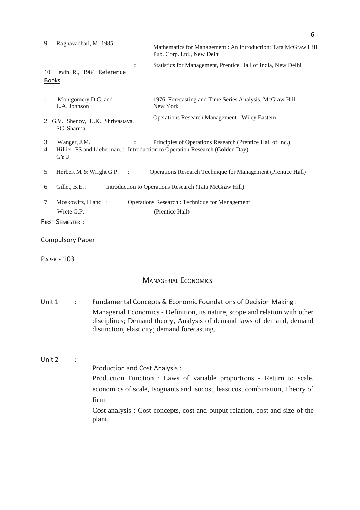| 9.           | Raghavachari, M. 1985                            | Mathematics for Management : An Introduction; Tata McGraw Hill<br>Pub. Corp. Ltd., New Delhi                                                                                                                                                                             |
|--------------|--------------------------------------------------|--------------------------------------------------------------------------------------------------------------------------------------------------------------------------------------------------------------------------------------------------------------------------|
| <b>Books</b> | 10. Levin R., 1984 Reference                     | Statistics for Management, Prentice Hall of India, New Delhi                                                                                                                                                                                                             |
| 1.           | Montgomery D.C. and<br>L.A. Johnson              | 1976, Forecasting and Time Series Analysis, McGraw Hill,<br>New York                                                                                                                                                                                                     |
|              | 2. G.V. Shenoy, U.K. Shrivastava,<br>SC. Sharma  | <b>Operations Research Management - Wiley Eastern</b>                                                                                                                                                                                                                    |
| 3.<br>4.     | Wanger, J.M.<br><b>GYU</b>                       | Principles of Operations Research (Prentice Hall of Inc.)<br>Hillier, FS and Lieberman.: Introduction to Operation Research (Golden Day)                                                                                                                                 |
| 5.           | Herbert M & Wright G.P.<br>$\sim$ 1.             | Operations Research Technique for Management (Prentice Hall)                                                                                                                                                                                                             |
| 6.           | Gillet, B.E.:                                    | Introduction to Operations Research (Tata McGraw Hill)                                                                                                                                                                                                                   |
| 7.           | Moskowitz, H and :<br>Wrete G.P.                 | <b>Operations Research: Technique for Management</b><br>(Prentice Hall)                                                                                                                                                                                                  |
|              | <b>FIRST SEMESTER:</b>                           |                                                                                                                                                                                                                                                                          |
|              | <b>Compulsory Paper</b>                          |                                                                                                                                                                                                                                                                          |
|              | <b>PAPER - 103</b>                               |                                                                                                                                                                                                                                                                          |
|              |                                                  | <b>MANAGERIAL ECONOMICS</b>                                                                                                                                                                                                                                              |
| Unit 1       | ÷                                                | Fundamental Concepts & Economic Foundations of Decision Making:<br>Managerial Economics - Definition, its nature, scope and relation with other<br>disciplines; Demand theory, Analysis of demand laws of demand, demand<br>distinction, elasticity; demand forecasting. |
| Unit 2       | Production and Cost Analysis:<br>firm.<br>plant. | Production Function : Laws of variable proportions - Return to scale,<br>economics of scale, Isoguants and isocost, least cost combination, Theory of<br>Cost analysis: Cost concepts, cost and output relation, cost and size of the                                    |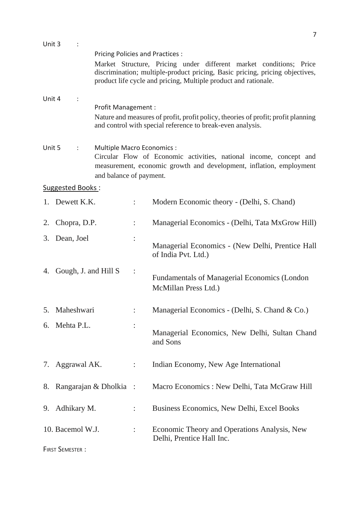| Unit 3                        |                        | Pricing Policies and Practices :                      |                | Market Structure, Pricing under different market conditions; Price<br>discrimination; multiple-product pricing, Basic pricing, pricing objectives,<br>product life cycle and pricing, Multiple product and rationale. |
|-------------------------------|------------------------|-------------------------------------------------------|----------------|-----------------------------------------------------------------------------------------------------------------------------------------------------------------------------------------------------------------------|
| Unit 4<br>Profit Management : |                        |                                                       |                | Nature and measures of profit, profit policy, theories of profit; profit planning<br>and control with special reference to break-even analysis.                                                                       |
| Unit 5                        | ÷                      | Multiple Macro Economics :<br>and balance of payment. |                | Circular Flow of Economic activities, national income, concept and<br>measurement, economic growth and development, inflation, employment                                                                             |
|                               | Suggested Books:       |                                                       |                |                                                                                                                                                                                                                       |
|                               | 1. Dewett K.K.         |                                                       |                | Modern Economic theory - (Delhi, S. Chand)                                                                                                                                                                            |
| 2.                            | Chopra, D.P.           |                                                       |                | Managerial Economics - (Delhi, Tata MxGrow Hill)                                                                                                                                                                      |
| 3.                            | Dean, Joel             |                                                       |                | Managerial Economics - (New Delhi, Prentice Hall<br>of India Pvt. Ltd.)                                                                                                                                               |
| 4.                            | Gough, J. and Hill S   |                                                       |                | <b>Fundamentals of Managerial Economics (London</b> )<br>McMillan Press Ltd.)                                                                                                                                         |
|                               | 5. Maheshwari          |                                                       |                | Managerial Economics - (Delhi, S. Chand & Co.)                                                                                                                                                                        |
|                               | 6. Mehta P.L.          |                                                       |                | Managerial Economics, New Delhi, Sultan Chand<br>and Sons                                                                                                                                                             |
|                               | 7. Aggrawal AK.        |                                                       |                | Indian Economy, New Age International                                                                                                                                                                                 |
|                               |                        | 8. Rangarajan & Dholkia :                             |                | Macro Economics: New Delhi, Tata McGraw Hill                                                                                                                                                                          |
|                               | 9. Adhikary M.         |                                                       |                | Business Economics, New Delhi, Excel Books                                                                                                                                                                            |
|                               | 10. Bacemol W.J.       |                                                       | $\ddot{\cdot}$ | Economic Theory and Operations Analysis, New<br>Delhi, Prentice Hall Inc.                                                                                                                                             |
|                               | <b>FIRST SEMESTER:</b> |                                                       |                |                                                                                                                                                                                                                       |

7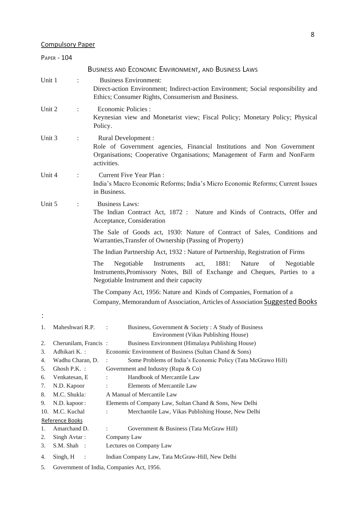#### Compulsory Paper

|          | <b>PAPER - 104</b>                                                                      |                |                                                                                                                                                                                                          |  |  |  |  |  |  |  |
|----------|-----------------------------------------------------------------------------------------|----------------|----------------------------------------------------------------------------------------------------------------------------------------------------------------------------------------------------------|--|--|--|--|--|--|--|
|          |                                                                                         |                | BUSINESS AND ECONOMIC ENVIRONMENT, AND BUSINESS LAWS                                                                                                                                                     |  |  |  |  |  |  |  |
| Unit 1   |                                                                                         | $\ddot{\cdot}$ | <b>Business Environment:</b><br>Direct-action Environment; Indirect-action Environment; Social responsibility and<br>Ethics; Consumer Rights, Consumerism and Business.                                  |  |  |  |  |  |  |  |
| Unit 2   |                                                                                         | $\ddot{\cdot}$ | <b>Economic Policies:</b><br>Keynesian view and Monetarist view; Fiscal Policy; Monetary Policy; Physical<br>Policy.                                                                                     |  |  |  |  |  |  |  |
| Unit 3   |                                                                                         | :              | Rural Development :<br>Role of Government agencies, Financial Institutions and Non Government<br>Organisations; Cooperative Organisations; Management of Farm and NonFarm<br>activities.                 |  |  |  |  |  |  |  |
| Unit 4   |                                                                                         | $\ddot{\cdot}$ | <b>Current Five Year Plan:</b><br>India's Macro Economic Reforms; India's Micro Economic Reforms; Current Issues<br>in Business.                                                                         |  |  |  |  |  |  |  |
| Unit 5   |                                                                                         | $\ddot{\cdot}$ | <b>Business Laws:</b><br>The Indian Contract Act, 1872 : Nature and Kinds of Contracts, Offer and<br>Acceptance, Consideration                                                                           |  |  |  |  |  |  |  |
|          |                                                                                         |                | The Sale of Goods act, 1930: Nature of Contract of Sales, Conditions and<br>Warranties, Transfer of Ownership (Passing of Property)                                                                      |  |  |  |  |  |  |  |
|          |                                                                                         |                | The Indian Partnership Act, 1932 : Nature of Partnership, Registration of Firms                                                                                                                          |  |  |  |  |  |  |  |
|          |                                                                                         |                | 1881:<br>The<br>Negotiable<br>Instruments<br>Nature<br>of<br>Negotiable<br>act,<br>Instruments, Promissory Notes, Bill of Exchange and Cheques, Parties to a<br>Negotiable Instrument and their capacity |  |  |  |  |  |  |  |
|          |                                                                                         |                | The Company Act, 1956: Nature and Kinds of Companies, Formation of a                                                                                                                                     |  |  |  |  |  |  |  |
|          |                                                                                         |                | Company, Memorandum of Association, Articles of Association Suggested Books                                                                                                                              |  |  |  |  |  |  |  |
|          |                                                                                         |                |                                                                                                                                                                                                          |  |  |  |  |  |  |  |
| 1.       | Maheshwari R.P.                                                                         |                | Business, Government & Society: A Study of Business<br>Environment (Vikas Publishing House)                                                                                                              |  |  |  |  |  |  |  |
| 2.       | Cherunilam, Francis:                                                                    |                | Business Environment (Himalaya Publishing House)                                                                                                                                                         |  |  |  |  |  |  |  |
| 3.       | Adhikari K.:                                                                            |                | Economic Environment of Business (Sultan Chand & Sons)                                                                                                                                                   |  |  |  |  |  |  |  |
| 4.       | Wadhu Charan, D.                                                                        |                | Some Problems of India's Economic Policy (Tata McGrawo Hill)                                                                                                                                             |  |  |  |  |  |  |  |
| 5.       | Ghosh P.K. :                                                                            |                | Government and Industry (Rupa & Co)                                                                                                                                                                      |  |  |  |  |  |  |  |
| 6.<br>7. | Venkatesan, E<br>N.D. Kapoor                                                            |                | Handbook of Mercantile Law<br>Elements of Mercantile Law                                                                                                                                                 |  |  |  |  |  |  |  |
| 8.       |                                                                                         |                | A Manual of Mercantile Law                                                                                                                                                                               |  |  |  |  |  |  |  |
| 9.       | M.C. Shukla:<br>N.D. kapoor:<br>Elements of Company Law, Sultan Chand & Sons, New Delhi |                |                                                                                                                                                                                                          |  |  |  |  |  |  |  |
| 10.      | M.C. Kuchal                                                                             |                | Merchantile Law, Vikas Publishing House, New Delhi<br>$\ddot{\phantom{0}}$                                                                                                                               |  |  |  |  |  |  |  |
|          | Reference Books                                                                         |                |                                                                                                                                                                                                          |  |  |  |  |  |  |  |
| 1.       | Amarchand D.                                                                            |                | Government & Business (Tata McGraw Hill)                                                                                                                                                                 |  |  |  |  |  |  |  |
| 2.       | Singh Avtar:                                                                            |                | Company Law                                                                                                                                                                                              |  |  |  |  |  |  |  |
| 3.       | S.M. Shah :                                                                             |                | Lectures on Company Law                                                                                                                                                                                  |  |  |  |  |  |  |  |
| 4.       | Singh, H                                                                                |                | Indian Company Law, Tata McGraw-Hill, New Delhi                                                                                                                                                          |  |  |  |  |  |  |  |
| 5.       |                                                                                         |                | Government of India, Companies Act, 1956.                                                                                                                                                                |  |  |  |  |  |  |  |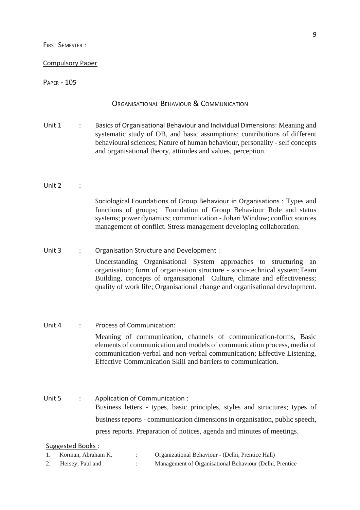FIRST SEMESTER :

#### Compulsory Paper

#### PAPER - 105

#### ORGANISATIONAL BEHAVIOUR & COMMUNICATION

Unit 1 : Basics of Organisational Behaviour and Individual Dimensions: Meaning and systematic study of OB, and basic assumptions; contributions of different behavioural sciences; Nature of human behaviour, personality - self concepts and organisational theory, attitudes and values, perception.

#### Unit  $2$  :

Sociological Foundations of Group Behaviour in Organisations : Types and functions of groups; Foundation of Group Behaviour Role and status systems; power dynamics; communication - Johari Window; conflict sources management of conflict. Stress management developing collaboration.

### Unit 3 : Organisation Structure and Development : Understanding Organisational System approaches to structuring an organisation; form of organisation structure - socio-technical system;Team Building, concepts of organisational Culture, climate and effectiveness; quality of work life; Organisational change and organisational development.

### Unit 4 : Process of Communication: Meaning of communication, channels of communication-forms, Basic elements of communication and models of communication process, media of communication-verbal and non-verbal communication; Effective Listening, Effective Communication Skill and barriers to communication.

Unit 5 : Application of Communication : Business letters - types, basic principles, styles and structures; types of business reports - communication dimensions in organisation, public speech, press reports. Preparation of notices, agenda and minutes of meetings.

| Korman, Abraham K. | Organizational Behaviour - (Delhi, Prentice Hall)       |
|--------------------|---------------------------------------------------------|
| Hersey, Paul and   | Management of Organisational Behaviour (Delhi, Prentice |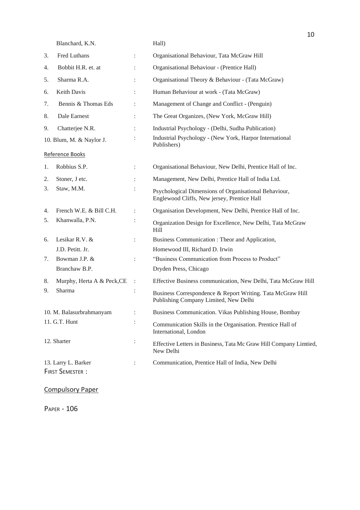Blanchard, K.N. Hall)

| 3. | Fred Luthans                                  |                | Organisational Behaviour, Tata McGraw Hill                                                           |
|----|-----------------------------------------------|----------------|------------------------------------------------------------------------------------------------------|
| 4. | Bobbit H.R. et. at                            |                | Organisational Behaviour - (Prentice Hall)                                                           |
| 5. | Sharma R.A.                                   |                | Organisational Theory & Behaviour - (Tata McGraw)                                                    |
| 6. | Keith Davis                                   |                | Human Behaviour at work - (Tata McGraw)                                                              |
| 7. | Bennis & Thomas Eds                           |                | Management of Change and Conflict - (Penguin)                                                        |
| 8. | Dale Earnest                                  | $\ddot{\cdot}$ | The Great Organizes, (New York, McGraw Hill)                                                         |
| 9. | Chatterjee N.R.                               |                | Industrial Psychology - (Delhi, Sudha Publication)                                                   |
|    | 10. Blum, M. & Naylor J.                      |                | Industrial Psychology - (New York, Harpor International<br>Publishers)                               |
|    | Reference Books                               |                |                                                                                                      |
| 1. | Robbius S.P.                                  |                | Organisational Behaviour, New Delhi, Prentice Hall of Inc.                                           |
| 2. | Stoner, J etc.                                |                | Management, New Delhi, Prentice Hall of India Ltd.                                                   |
| 3. | Staw, M.M.                                    | :              | Psychological Dimensions of Organisational Behaviour,<br>Englewood Cliffs, New jersey, Prentice Hall |
| 4. | French W.E. & Bill C.H.                       | $\ddot{\cdot}$ | Organisation Development, New Delhi, Prentice Hall of Inc.                                           |
| 5. | Khanwalla, P.N.                               |                | Organization Design for Excellence, New Delhi, Tata McGraw<br>Hill                                   |
| 6. | Lesikar R.V. &                                | $\ddot{\cdot}$ | Business Communication: Theor and Application,                                                       |
|    | J.D. Petitt. Jr.                              |                | Homewood III, Richard D. Irwin                                                                       |
| 7. | Bowman J.P. &                                 |                | "Business Communication from Process to Product"                                                     |
|    | Branchaw B.P.                                 |                | Dryden Press, Chicago                                                                                |
| 8. | Murphy, Herta A & Peck, CE                    | $\ddot{\cdot}$ | Effective Business communication, New Delhi, Tata McGraw Hill                                        |
| 9. | Sharma                                        | :              | Business Correspondence & Report Writing. Tata McGraw Hill<br>Publishing Company Limited, New Delhi  |
|    | 10. M. Balasurbrahmanyam                      | $\ddot{\cdot}$ | Business Communication. Vikas Publishing House, Bombay                                               |
|    | 11. G.T. Hunt                                 | :              | Communication Skills in the Organisation. Prentice Hall of<br>International, London                  |
|    | 12. Sharter                                   | $\ddot{\cdot}$ | Effective Letters in Business, Tata Mc Graw Hill Company Limtied,<br>New Delhi                       |
|    | 13. Larry L. Barker<br><b>FIRST SEMESTER:</b> | $\ddot{\cdot}$ | Communication, Prentice Hall of India, New Delhi                                                     |
|    |                                               |                |                                                                                                      |

Compulsory Paper

PAPER - 106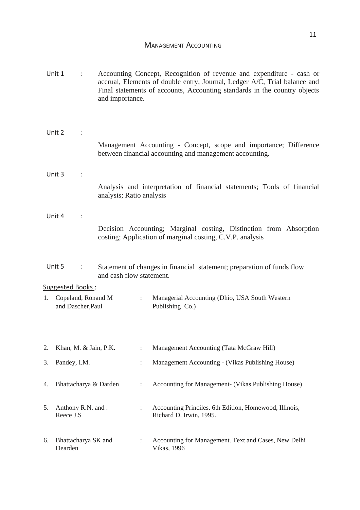#### MANAGEMENT ACCOUNTING

|    | Unit 1<br>and importance.               |   |                          |                                                     | Accounting Concept, Recognition of revenue and expenditure - cash or<br>accrual, Elements of double entry, Journal, Ledger A/C, Trial balance and<br>Final statements of accounts, Accounting standards in the country objects |
|----|-----------------------------------------|---|--------------------------|-----------------------------------------------------|--------------------------------------------------------------------------------------------------------------------------------------------------------------------------------------------------------------------------------|
|    | Unit 2                                  |   |                          |                                                     |                                                                                                                                                                                                                                |
|    |                                         |   |                          |                                                     | Management Accounting - Concept, scope and importance; Difference<br>between financial accounting and management accounting.                                                                                                   |
|    | Unit 3                                  |   |                          |                                                     |                                                                                                                                                                                                                                |
|    |                                         |   | analysis; Ratio analysis |                                                     | Analysis and interpretation of financial statements; Tools of financial                                                                                                                                                        |
|    | Unit 4                                  |   |                          |                                                     |                                                                                                                                                                                                                                |
|    |                                         |   |                          |                                                     | Decision Accounting; Marginal costing, Distinction from Absorption<br>costing; Application of marginal costing, C.V.P. analysis                                                                                                |
|    | Unit 5                                  | ÷ | and cash flow statement. |                                                     | Statement of changes in financial statement; preparation of funds flow                                                                                                                                                         |
|    | Suggested Books:                        |   |                          |                                                     |                                                                                                                                                                                                                                |
| 1. | Copeland, Ronand M<br>and Dascher, Paul |   |                          | $\ddot{\phantom{0}}$                                | Managerial Accounting (Dhio, USA South Western<br>Publishing Co.)                                                                                                                                                              |
|    |                                         |   |                          |                                                     |                                                                                                                                                                                                                                |
| 2. | Khan, M. & Jain, P.K.                   |   |                          | $\vdots$                                            | Management Accounting (Tata McGraw Hill)                                                                                                                                                                                       |
| 3. | Pandey, I.M.                            |   | $\ddot{\cdot}$           | Management Accounting - (Vikas Publishing House)    |                                                                                                                                                                                                                                |
| 4. | Bhattacharya & Darden                   |   | $\ddot{\cdot}$           | Accounting for Management- (Vikas Publishing House) |                                                                                                                                                                                                                                |
| 5. | Anthony R.N. and.<br>Reece J.S          |   |                          |                                                     | Accounting Princiles. 6th Edition, Homewood, Illinois,<br>Richard D. Irwin, 1995.                                                                                                                                              |
| 6. | Bhattacharya SK and<br>Dearden          |   |                          |                                                     | Accounting for Management. Text and Cases, New Delhi<br><b>Vikas</b> , 1996                                                                                                                                                    |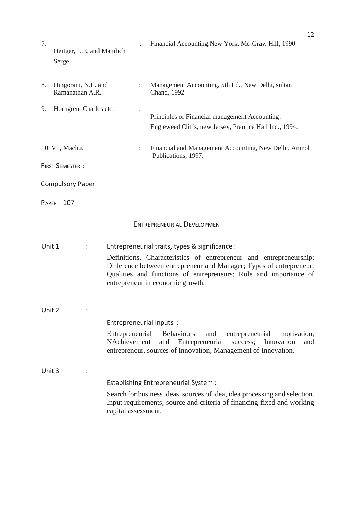| 7.     | Heitger, L.E. and Matulich<br>Serge    |                                 | Financial Accounting. New York, Mc-Graw Hill, 1990                                                                                                                                                                                                                                                  |
|--------|----------------------------------------|---------------------------------|-----------------------------------------------------------------------------------------------------------------------------------------------------------------------------------------------------------------------------------------------------------------------------------------------------|
| 8.     | Hingorani, N.L. and<br>Ramanathan A.R. | ÷                               | Management Accounting, 5th Ed., New Delhi, sultan<br>Chand, 1992                                                                                                                                                                                                                                    |
| 9.     | Horngren, Charles etc.                 |                                 | Principles of Financial management Accounting.<br>Engleweed Cliffs, new Jersey, Prentice Hall Inc., 1994.                                                                                                                                                                                           |
|        | 10. Vij, Machu.                        |                                 | Financial and Management Accounting, New Delhi, Anmol<br>Publications, 1997.                                                                                                                                                                                                                        |
|        | <b>FIRST SEMESTER:</b>                 |                                 |                                                                                                                                                                                                                                                                                                     |
|        | <b>Compulsory Paper</b>                |                                 |                                                                                                                                                                                                                                                                                                     |
|        | <b>PAPER - 107</b>                     |                                 |                                                                                                                                                                                                                                                                                                     |
|        |                                        |                                 | <b>ENTREPRENEURIAL DEVELOPMENT</b>                                                                                                                                                                                                                                                                  |
| Unit 1 | $\ddot{\cdot}$                         |                                 | Entrepreneurial traits, types & significance :<br>Definitions, Characteristics of entrepreneur and entrepreneurship;<br>Difference between entrepreneur and Manager; Types of entrepreneur;<br>Qualities and functions of entrepreneurs; Role and importance of<br>entrepreneur in economic growth. |
| Unit 2 |                                        |                                 |                                                                                                                                                                                                                                                                                                     |
|        |                                        | Entrepreneurial Inputs:         |                                                                                                                                                                                                                                                                                                     |
|        |                                        | Entrepreneurial<br>NAchievement | <b>Behaviours</b><br>and<br>entrepreneurial<br>motivation;<br>Entrepreneurial<br>Innovation<br>and<br>success;<br>and<br>entrepreneur, sources of Innovation; Management of Innovation.                                                                                                             |
| Unit 3 |                                        |                                 |                                                                                                                                                                                                                                                                                                     |
|        |                                        |                                 | Establishing Entrepreneurial System :                                                                                                                                                                                                                                                               |
|        |                                        | capital assessment.             | Search for business ideas, sources of idea, idea processing and selection.<br>Input requirements; source and criteria of financing fixed and working                                                                                                                                                |

12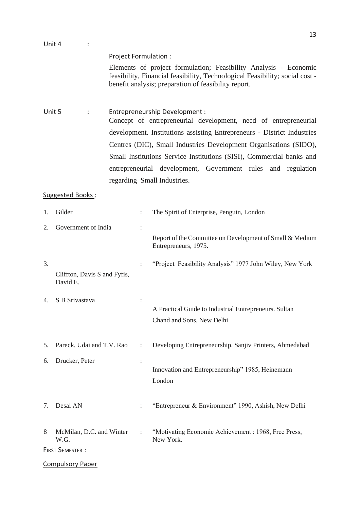| Unit 4 |                                          |                       | 13                                                                                                                                                                                                                                                                                                                                                                                                                       |
|--------|------------------------------------------|-----------------------|--------------------------------------------------------------------------------------------------------------------------------------------------------------------------------------------------------------------------------------------------------------------------------------------------------------------------------------------------------------------------------------------------------------------------|
|        |                                          | Project Formulation : | Elements of project formulation; Feasibility Analysis - Economic<br>feasibility, Financial feasibility, Technological Feasibility; social cost -<br>benefit analysis; preparation of feasibility report.                                                                                                                                                                                                                 |
| Unit 5 | $\ddot{\cdot}$                           |                       | Entrepreneurship Development :<br>Concept of entrepreneurial development, need of entrepreneurial<br>development. Institutions assisting Entrepreneurs - District Industries<br>Centres (DIC), Small Industries Development Organisations (SIDO),<br>Small Institutions Service Institutions (SISI), Commercial banks and<br>entrepreneurial development, Government rules and regulation<br>regarding Small Industries. |
|        | Suggested Books:                         |                       |                                                                                                                                                                                                                                                                                                                                                                                                                          |
| 1.     | Gilder                                   | $\ddot{\cdot}$        | The Spirit of Enterprise, Penguin, London                                                                                                                                                                                                                                                                                                                                                                                |
| 2.     | Government of India                      |                       | Report of the Committee on Development of Small & Medium<br>Entrepreneurs, 1975.                                                                                                                                                                                                                                                                                                                                         |
| 3.     | Cliffton, Davis S and Fyfis,<br>David E. |                       | "Project Feasibility Analysis" 1977 John Wiley, New York                                                                                                                                                                                                                                                                                                                                                                 |
|        | 4. S B Srivastava                        |                       | A Practical Guide to Industrial Entrepreneurs. Sultan<br>Chand and Sons, New Delhi                                                                                                                                                                                                                                                                                                                                       |
| 5.     | Pareck, Udai and T.V. Rao                | $\ddot{\cdot}$        | Developing Entrepreneurship. Sanjiv Printers, Ahmedabad                                                                                                                                                                                                                                                                                                                                                                  |
| 6.     | Drucker, Peter                           |                       | Innovation and Entrepreneurship" 1985, Heinemann<br>London                                                                                                                                                                                                                                                                                                                                                               |

7. Desai AN : "Entrepreneur & Environment" 1990, Ashish, New Delhi

8 McMilan, D.C. and Winter : "Motivating Economic Achievement : 1968, Free Press,

W.G. New York.

FIRST SEMESTER :

Compulsory Paper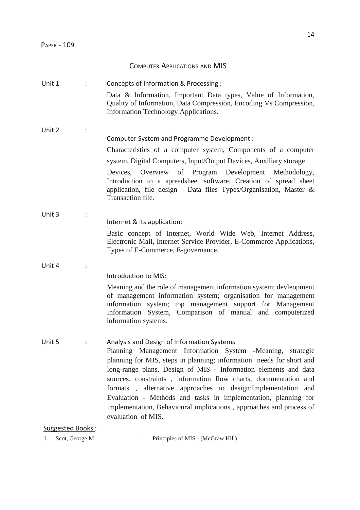### COMPUTER APPLICATIONS AND MIS

| Unit 1           |                | Concepts of Information & Processing :                                                                                                                                                                                                                                                                                                                                                                                                                                                                                                                     |
|------------------|----------------|------------------------------------------------------------------------------------------------------------------------------------------------------------------------------------------------------------------------------------------------------------------------------------------------------------------------------------------------------------------------------------------------------------------------------------------------------------------------------------------------------------------------------------------------------------|
|                  |                | Data & Information, Important Data types, Value of Information,<br>Quality of Information, Data Compression, Encoding Vs Compression,<br>Information Technology Applications.                                                                                                                                                                                                                                                                                                                                                                              |
| Unit 2           |                |                                                                                                                                                                                                                                                                                                                                                                                                                                                                                                                                                            |
|                  |                | Computer System and Programme Development :                                                                                                                                                                                                                                                                                                                                                                                                                                                                                                                |
|                  |                | Characteristics of a computer system, Components of a computer                                                                                                                                                                                                                                                                                                                                                                                                                                                                                             |
|                  |                | system, Digital Computers, Input/Output Devices, Auxiliary storage                                                                                                                                                                                                                                                                                                                                                                                                                                                                                         |
|                  |                | Development Methodology,<br>Devices, Overview of Program<br>Introduction to a spreadsheet software, Creation of spread sheet<br>application, file design - Data files Types/Organisation, Master &<br>Transaction file.                                                                                                                                                                                                                                                                                                                                    |
| Unit 3           | $\ddot{\cdot}$ |                                                                                                                                                                                                                                                                                                                                                                                                                                                                                                                                                            |
|                  |                | Internet & its application:                                                                                                                                                                                                                                                                                                                                                                                                                                                                                                                                |
|                  |                | Basic concept of Internet, World Wide Web, Internet Address,<br>Electronic Mail, Internet Service Provider, E-Commerce Applications,<br>Types of E-Commerce, E-governance.                                                                                                                                                                                                                                                                                                                                                                                 |
| Unit 4           |                |                                                                                                                                                                                                                                                                                                                                                                                                                                                                                                                                                            |
|                  |                | Introduction to MIS:                                                                                                                                                                                                                                                                                                                                                                                                                                                                                                                                       |
|                  |                | Meaning and the role of management information system; devleopment<br>of management information system; organisation for management<br>information system; top management support for Management<br>Information System, Comparison of manual and computerized<br>information systems.                                                                                                                                                                                                                                                                      |
| Unit 5           |                | Analysis and Design of Information Systems<br>Planning Management Information System -Meaning, strategic<br>planning for MIS, steps in planning; information needs for short and<br>long-range plans, Design of MIS - Information elements and data<br>sources, constraints, information flow charts, documentation and<br>formats, alternative approaches to design; Implementation<br>and<br>Evaluation - Methods and tasks in implementation, planning for<br>implementation, Behavioural implications, approaches and process of<br>evaluation of MIS. |
| Suggested Books: |                |                                                                                                                                                                                                                                                                                                                                                                                                                                                                                                                                                            |

1. Scot, George M : Principles of MIS - (McGraw Hill)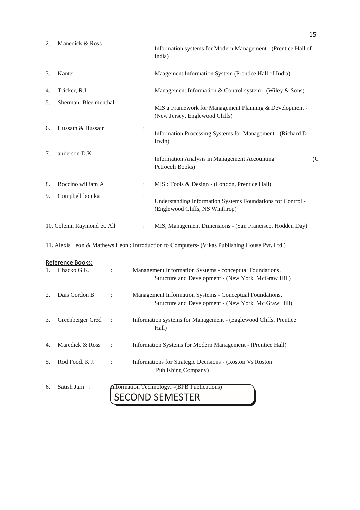| 2. | Manedick & Ross                 |                      | India)               | Information systems for Modern Management - (Prentice Hall of                                                    |     |
|----|---------------------------------|----------------------|----------------------|------------------------------------------------------------------------------------------------------------------|-----|
| 3. | Kanter                          |                      | $\ddot{\phantom{a}}$ | Maagement Information System (Prentice Hall of India)                                                            |     |
| 4. | Tricker, R.I.                   |                      |                      | Management Information & Control system - (Wiley & Sons)                                                         |     |
| 5. | Sherman, Blee menthal           |                      |                      | MIS a Framework for Management Planning & Development -<br>(New Jersey, Englewood Cliffs)                        |     |
| 6. | Hussain & Hussain               |                      | :<br>Irwin)          | Information Processing Systems for Management - (Richard D)                                                      |     |
| 7. | anderson D.K.                   |                      |                      | Information Analysis in Management Accounting<br>Petroceli Books)                                                | (C) |
| 8. | Boccino william A               |                      | $\ddot{\cdot}$       | MIS : Tools & Design - (London, Prentice Hall)                                                                   |     |
| 9. | Compbell bonika                 |                      |                      | Understanding Information Systems Foundations for Control -<br>(Englewood Cliffs, NS Winthrop)                   |     |
|    | 10. Colemn Raymond et. All      |                      | $\ddot{\cdot}$       | MIS, Management Dimensions - (San Francisco, Hodden Day)                                                         |     |
|    |                                 |                      |                      | 11. Alexis Leon & Mathews Leon : Introduction to Computers- (Vikas Publishing House Pvt. Ltd.)                   |     |
| 1. | Reference Books:<br>Chacko G.K. | $\ddot{\phantom{a}}$ |                      | Management Information Systems - conceptual Foundations,<br>Structure and Development - (New York, McGraw Hill)  |     |
| 2. | Dais Gordon B.                  |                      |                      | Management Information Systems - Conceptual Foundations,<br>Structure and Development - (New York, Mc Graw Hill) |     |
| 3. | Greenberger Gred                | $\sim$ :             | Hall)                | Information systems for Management - (Eaglewood Cliffs, Prentice                                                 |     |
| 4. | Maredick & Ross                 |                      |                      | Information Systems for Modern Management - (Prentice Hall)                                                      |     |
| 5. | Rod Food. K.J.                  |                      |                      | Informations for Strategic Decisions - (Roston Vs Roston<br>Publishing Company)                                  |     |
| 6. | Satish Jain:                    |                      |                      | Information Technology. - (BPB Publications)<br><b>SECOND SEMESTER</b>                                           |     |

15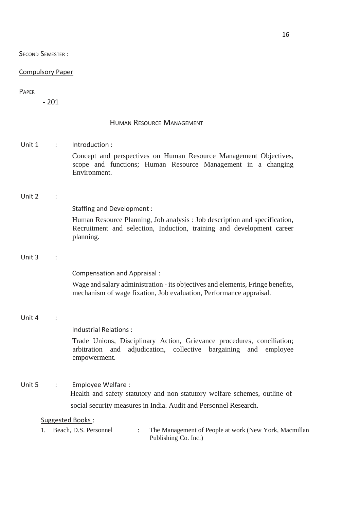SECOND SEMESTER :

#### Compulsory Paper

#### PAPER

- 201

#### HUMAN RESOURCE MANAGEMENT

Unit 1 : Introduction : Concept and perspectives on Human Resource Management Objectives, scope and functions; Human Resource Management in a changing Environment.

#### Unit 2 :

Staffing and Development :

Human Resource Planning, Job analysis : Job description and specification, Recruitment and selection, Induction, training and development career planning.

#### Unit  $3 \cdot \cdot$

Compensation and Appraisal :

Wage and salary administration - its objectives and elements, Fringe benefits, mechanism of wage fixation, Job evaluation, Performance appraisal.

#### Unit 4 :

Industrial Relations :

Trade Unions, Disciplinary Action, Grievance procedures, conciliation; arbitration and adjudication, collective bargaining and employee empowerment.

Unit 5 : Employee Welfare :

Health and safety statutory and non statutory welfare schemes, outline of social security measures in India. Audit and Personnel Research.

| Beach, D.S. Personnel | The Management of People at work (New York, Macmillan |
|-----------------------|-------------------------------------------------------|
|                       | Publishing Co. Inc.)                                  |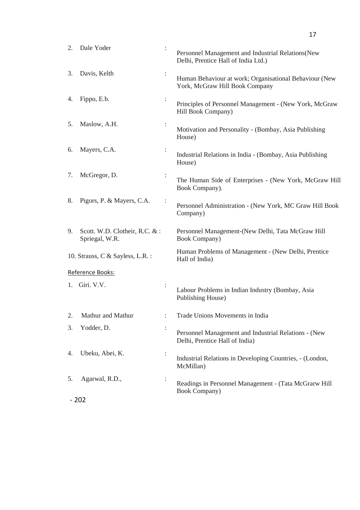| 2. | Dale Yoder                                      | :              | Personnel Management and Industrial Relations (New<br>Delhi, Prentice Hall of India Ltd.) |
|----|-------------------------------------------------|----------------|-------------------------------------------------------------------------------------------|
| 3. | Davis, Kelth                                    |                | Human Behaviour at work; Organisational Behaviour (New<br>York, McGraw Hill Book Company  |
| 4. | Fippo, E.b.                                     | $\ddot{\cdot}$ | Principles of Personnel Management - (New York, McGraw<br>Hill Book Company)              |
| 5. | Maslow, A.H.                                    |                | Motivation and Personality - (Bombay, Asia Publishing<br>House)                           |
| 6. | Mayers, C.A.                                    |                | Industrial Relations in India - (Bombay, Asia Publishing<br>House)                        |
| 7. | McGregor, D.                                    |                | The Human Side of Enterprises - (New York, McGraw Hill<br>Book Company).                  |
| 8. | Pigors, P. & Mayers, C.A.                       |                | Personnel Administration - (New York, MC Graw Hill Book<br>Company)                       |
| 9. | Scott. W.D. Clotheir, R.C. &:<br>Spriegal, W.R. |                | Personnel Management-(New Delhi, Tata McGraw Hill<br><b>Book Company</b> )                |
|    | 10. Strauss, C & Sayless, L.R. :                |                | Human Problems of Management - (New Delhi, Prentice<br>Hall of India)                     |
|    | Reference Books:                                |                |                                                                                           |
|    | 1. Giri. V.V.                                   |                | Labour Problems in Indian Industry (Bombay, Asia<br><b>Publishing House)</b>              |
|    | Mathur and Mathur                               |                | Trade Unions Movements in India                                                           |
| 3. | Yodder, D.                                      |                | Personnel Management and Industrial Relations - (New<br>Delhi, Prentice Hall of India)    |
| 4. | Ubeku, Abei, K.                                 |                | Industrial Relations in Developing Countries, - (London,<br>McMillan)                     |
| 5. | Agarwal, R.D.,                                  |                | Readings in Personnel Management - (Tata McGrarw Hill<br><b>Book Company</b> )            |
|    | $-202$                                          |                |                                                                                           |

17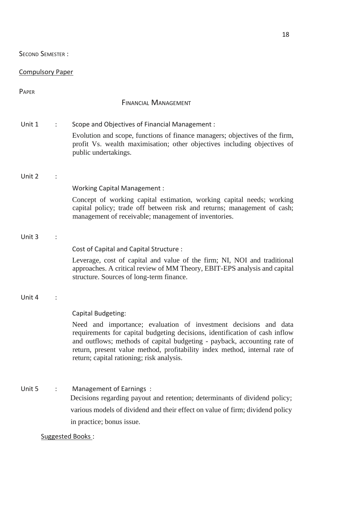SECOND SEMESTER :

### Compulsory Paper

| PAPER  |                |                                                                                                                                                                                                                                                                                                                                                                              |
|--------|----------------|------------------------------------------------------------------------------------------------------------------------------------------------------------------------------------------------------------------------------------------------------------------------------------------------------------------------------------------------------------------------------|
|        |                | <b>FINANCIAL MANAGEMENT</b>                                                                                                                                                                                                                                                                                                                                                  |
| Unit 1 | ÷              | Scope and Objectives of Financial Management:<br>Evolution and scope, functions of finance managers; objectives of the firm,<br>profit Vs. wealth maximisation; other objectives including objectives of<br>public undertakings.                                                                                                                                             |
| Unit 2 |                | Working Capital Management :<br>Concept of working capital estimation, working capital needs; working<br>capital policy; trade off between risk and returns; management of cash;<br>management of receivable; management of inventories.                                                                                                                                     |
| Unit 3 |                | Cost of Capital and Capital Structure :<br>Leverage, cost of capital and value of the firm; NI, NOI and traditional<br>approaches. A critical review of MM Theory, EBIT-EPS analysis and capital<br>structure. Sources of long-term finance.                                                                                                                                 |
| Unit 4 |                | Capital Budgeting:<br>Need and importance; evaluation of investment decisions and data<br>requirements for capital budgeting decisions, identification of cash inflow<br>and outflows; methods of capital budgeting - payback, accounting rate of<br>return, present value method, profitability index method, internal rate of<br>return; capital rationing; risk analysis. |
| Unit 5 | $\ddot{\cdot}$ | Management of Earnings :<br>Decisions regarding payout and retention; determinants of dividend policy;<br>various models of dividend and their effect on value of firm; dividend policy<br>in practice; bonus issue.                                                                                                                                                         |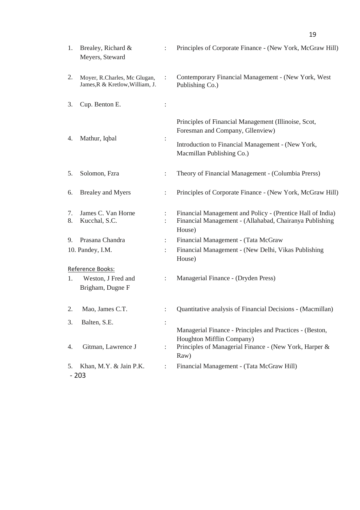| 1.       | Brealey, Richard &<br>Meyers, Steward                           |                      | Principles of Corporate Finance - (New York, McGraw Hill)                                                                                                                  |
|----------|-----------------------------------------------------------------|----------------------|----------------------------------------------------------------------------------------------------------------------------------------------------------------------------|
| 2.       | Moyer, R.Charles, Mc Glugan,<br>James, R & Kretlow, William, J. |                      | Contemporary Financial Management - (New York, West<br>Publishing Co.)                                                                                                     |
| 3.       | Cup. Benton E.                                                  |                      |                                                                                                                                                                            |
| 4.       | Mathur, Iqbal                                                   |                      | Principles of Financial Management (Illinoise, Scot,<br>Foresman and Company, Gllenview)<br>Introduction to Financial Management - (New York,<br>Macmillan Publishing Co.) |
| 5.       | Solomon, Fzra                                                   |                      | Theory of Financial Management - (Columbia Prerss)                                                                                                                         |
| 6.       | <b>Brealey and Myers</b>                                        |                      | Principles of Corporate Finance - (New York, McGraw Hill)                                                                                                                  |
| 7.<br>8. | James C. Van Horne<br>Kucchal, S.C.                             |                      | Financial Management and Policy - (Prentice Hall of India)<br>Financial Management - (Allahabad, Chairanya Publishing<br>House)                                            |
| 9.       | Prasana Chandra                                                 | $\ddot{\phantom{a}}$ | Financial Management - (Tata McGraw                                                                                                                                        |
|          | 10. Pandey, I.M.                                                |                      | Financial Management - (New Delhi, Vikas Publishing<br>House)                                                                                                              |
| 1.       | Reference Books:<br>Weston, J Fred and<br>Brigham, Dugne F      |                      | Managerial Finance - (Dryden Press)                                                                                                                                        |
| 2.       | Mao, James C.T.                                                 |                      | Quantitative analysis of Financial Decisions - (Macmillan)                                                                                                                 |
| 3.       | Balten, S.E.                                                    |                      |                                                                                                                                                                            |
| 4.       | Gitman, Lawrence J                                              |                      | Managerial Finance - Principles and Practices - (Beston,<br>Houghton Mifflin Company)<br>Principles of Managerial Finance - (New York, Harper &<br>Raw)                    |
| 5.       | Khan, M.Y. & Jain P.K.<br>$-203$                                |                      | Financial Management - (Tata McGraw Hill)                                                                                                                                  |

19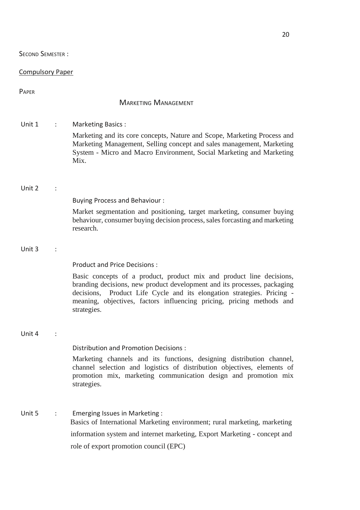20

### SECOND SEMESTER :

### Compulsory Paper

| <b>PAPER</b> |   |                                                                                                                                                                                                                                                                                                                                                              |
|--------------|---|--------------------------------------------------------------------------------------------------------------------------------------------------------------------------------------------------------------------------------------------------------------------------------------------------------------------------------------------------------------|
|              |   | <b>MARKETING MANAGEMENT</b>                                                                                                                                                                                                                                                                                                                                  |
| Unit 1       | ÷ | Marketing Basics:<br>Marketing and its core concepts, Nature and Scope, Marketing Process and<br>Marketing Management, Selling concept and sales management, Marketing<br>System - Micro and Macro Environment, Social Marketing and Marketing<br>Mix.                                                                                                       |
| Unit 2       |   | <b>Buying Process and Behaviour:</b><br>Market segmentation and positioning, target marketing, consumer buying<br>behaviour, consumer buying decision process, sales forcasting and marketing<br>research.                                                                                                                                                   |
| Unit 3       |   | <b>Product and Price Decisions:</b><br>Basic concepts of a product, product mix and product line decisions,<br>branding decisions, new product development and its processes, packaging<br>Product Life Cycle and its elongation strategies. Pricing -<br>decisions,<br>meaning, objectives, factors influencing pricing, pricing methods and<br>strategies. |
| Unit 4       |   | Distribution and Promotion Decisions:<br>Marketing channels and its functions, designing distribution channel,<br>channel selection and logistics of distribution objectives, elements of<br>promotion mix, marketing communication design and promotion mix<br>strategies.                                                                                  |
| Unit 5       | ÷ | Emerging Issues in Marketing:<br>Basics of International Marketing environment; rural marketing, marketing<br>information system and internet marketing, Export Marketing - concept and<br>role of export promotion council (EPC)                                                                                                                            |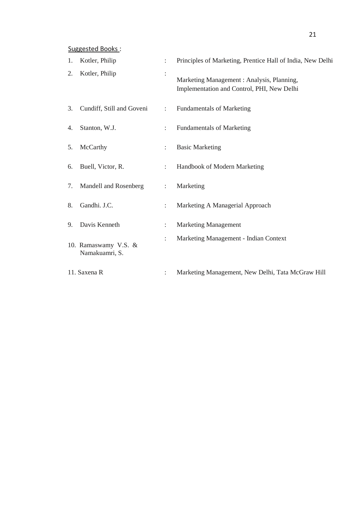| 1. | Kotler, Philip                         | ÷                    | Principles of Marketing, Prentice Hall of India, New Delhi                               |
|----|----------------------------------------|----------------------|------------------------------------------------------------------------------------------|
| 2. | Kotler, Philip                         |                      | Marketing Management : Analysis, Planning,<br>Implementation and Control, PHI, New Delhi |
| 3. | Cundiff, Still and Goveni              | $\ddot{\phantom{a}}$ | <b>Fundamentals of Marketing</b>                                                         |
| 4. | Stanton, W.J.                          | $\ddot{\cdot}$       | <b>Fundamentals of Marketing</b>                                                         |
| 5. | McCarthy                               | ÷                    | <b>Basic Marketing</b>                                                                   |
| 6. | Buell, Victor, R.                      | $\ddot{\cdot}$       | Handbook of Modern Marketing                                                             |
| 7. | Mandell and Rosenberg                  | ÷                    | Marketing                                                                                |
| 8. | Gandhi. J.C.                           | ÷                    | Marketing A Managerial Approach                                                          |
| 9. | Davis Kenneth                          | ÷                    | <b>Marketing Management</b>                                                              |
|    | 10. Ramaswamy V.S. &<br>Namakuamri, S. | $\ddot{\cdot}$       | Marketing Management - Indian Context                                                    |
|    | 11. Saxena R                           |                      | Marketing Management, New Delhi, Tata McGraw Hill                                        |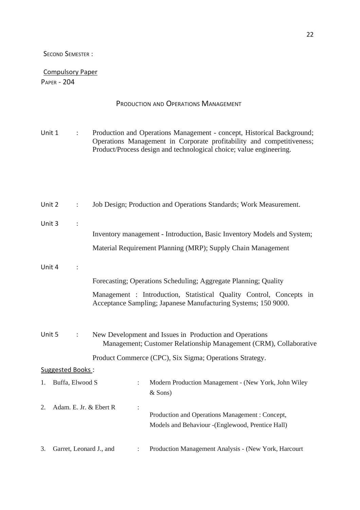#### SECOND SEMESTER :

## Compulsory Paper

### PAPER - 204

|        |                  |                      |                         | PRODUCTION AND OPERATIONS MANAGEMENT                                                                                                                                                                                   |
|--------|------------------|----------------------|-------------------------|------------------------------------------------------------------------------------------------------------------------------------------------------------------------------------------------------------------------|
| Unit 1 |                  | $\ddot{\phantom{a}}$ |                         | Production and Operations Management - concept, Historical Background;<br>Operations Management in Corporate profitability and competitiveness;<br>Product/Process design and technological choice; value engineering. |
| Unit 2 |                  | $\ddot{\phantom{a}}$ |                         | Job Design; Production and Operations Standards; Work Measurement.                                                                                                                                                     |
| Unit 3 |                  | $\ddot{\cdot}$       |                         |                                                                                                                                                                                                                        |
|        |                  |                      |                         | Inventory management - Introduction, Basic Inventory Models and System;                                                                                                                                                |
|        |                  |                      |                         | Material Requirement Planning (MRP); Supply Chain Management                                                                                                                                                           |
|        |                  |                      |                         |                                                                                                                                                                                                                        |
| Unit 4 |                  |                      |                         |                                                                                                                                                                                                                        |
|        |                  |                      |                         | Forecasting; Operations Scheduling; Aggregate Planning; Quality                                                                                                                                                        |
|        |                  |                      |                         | Management : Introduction, Statistical Quality Control, Concepts in<br>Acceptance Sampling; Japanese Manufacturing Systems; 150 9000.                                                                                  |
| Unit 5 |                  | $\ddot{\cdot}$       |                         | New Development and Issues in Production and Operations<br>Management; Customer Relationship Management (CRM), Collaborative                                                                                           |
|        |                  |                      |                         | Product Commerce (CPC), Six Sigma; Operations Strategy.                                                                                                                                                                |
|        | Suggested Books: |                      |                         |                                                                                                                                                                                                                        |
| 1.     | Buffa, Elwood S  |                      | $\ddot{\phantom{a}}$    | Modern Production Management - (New York, John Wiley<br>& Sons)                                                                                                                                                        |
| 2.     |                  |                      | Adam. E. Jr. & Ebert R  | Production and Operations Management : Concept,<br>Models and Behaviour - (Englewood, Prentice Hall)                                                                                                                   |
| 3.     |                  |                      | Garret, Leonard J., and | Production Management Analysis - (New York, Harcourt                                                                                                                                                                   |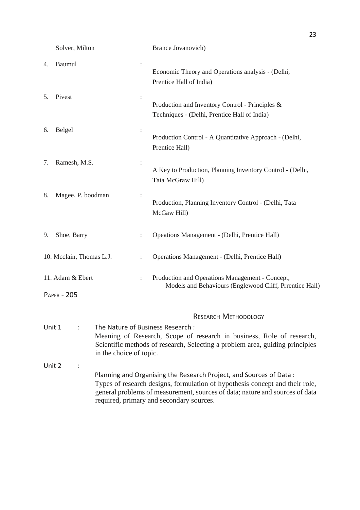Solver, Milton Brance Jovanovich)

|    | <b>DOIVOI, IVILITOII</b>               |                         |                | Drame Jovanovich                                                                                                                                                                                                                                                               |
|----|----------------------------------------|-------------------------|----------------|--------------------------------------------------------------------------------------------------------------------------------------------------------------------------------------------------------------------------------------------------------------------------------|
| 4. | Baumul                                 |                         |                | Economic Theory and Operations analysis - (Delhi,<br>Prentice Hall of India)                                                                                                                                                                                                   |
| 5. | Pivest                                 |                         | $\ddot{\cdot}$ | Production and Inventory Control - Principles &<br>Techniques - (Delhi, Prentice Hall of India)                                                                                                                                                                                |
| 6. | Belgel                                 |                         |                | Production Control - A Quantitative Approach - (Delhi,<br>Prentice Hall)                                                                                                                                                                                                       |
| 7. | Ramesh, M.S.                           |                         | :              | A Key to Production, Planning Inventory Control - (Delhi,<br>Tata McGraw Hill)                                                                                                                                                                                                 |
| 8. | Magee, P. boodman                      |                         |                | Production, Planning Inventory Control - (Delhi, Tata<br>McGaw Hill)                                                                                                                                                                                                           |
| 9. | Shoe, Barry                            |                         |                | Opeations Management - (Delhi, Prentice Hall)                                                                                                                                                                                                                                  |
|    | 10. Mcclain, Thomas L.J.               |                         |                | Operations Management - (Delhi, Prentice Hall)                                                                                                                                                                                                                                 |
|    | 11. Adam & Ebert<br><b>PAPER - 205</b> |                         | $\ddot{\cdot}$ | Production and Operations Management - Concept,<br>Models and Behaviours (Englewood Cliff, Prrentice Hall)                                                                                                                                                                     |
|    |                                        |                         |                | <b>RESEARCH METHODOLOGY</b>                                                                                                                                                                                                                                                    |
|    | Unit 1                                 | in the choice of topic. |                | The Nature of Business Research :<br>Meaning of Research, Scope of research in business, Role of research,<br>Scientific methods of research, Selecting a problem area, guiding principles                                                                                     |
|    | Unit 2                                 |                         |                | Planning and Organising the Research Project, and Sources of Data:<br>Types of research designs, formulation of hypothesis concept and their role,<br>general problems of measurement, sources of data; nature and sources of data<br>required, primary and secondary sources. |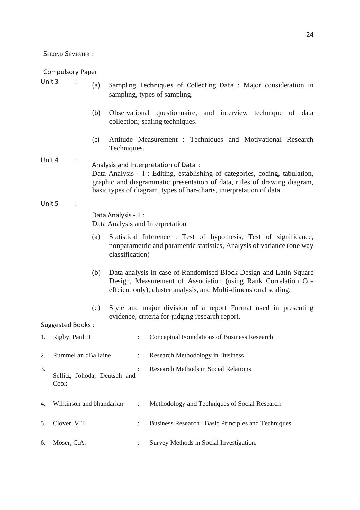SECOND SEMESTER :

Compulsory Paper

|        | <u>Compaisory Faper</u>              |     |                                                                                                                                                                                                                                                                          |
|--------|--------------------------------------|-----|--------------------------------------------------------------------------------------------------------------------------------------------------------------------------------------------------------------------------------------------------------------------------|
| Unit 3 |                                      | (a) | Sampling Techniques of Collecting Data: Major consideration in<br>sampling, types of sampling.                                                                                                                                                                           |
|        |                                      | (b) | Observational questionnaire, and interview technique of data<br>collection; scaling techniques.                                                                                                                                                                          |
|        |                                      | (c) | Attitude Measurement : Techniques and Motivational Research<br>Techniques.                                                                                                                                                                                               |
| Unit 4 |                                      |     | Analysis and Interpretation of Data:<br>Data Analysis - I : Editing, establishing of categories, coding, tabulation,<br>graphic and diagrammatic presentation of data, rules of drawing diagram,<br>basic types of diagram, types of bar-charts, interpretation of data. |
| Unit 5 |                                      |     |                                                                                                                                                                                                                                                                          |
|        |                                      |     | Data Analysis - II :<br>Data Analysis and Interpretation                                                                                                                                                                                                                 |
|        |                                      | (a) | Statistical Inference : Test of hypothesis, Test of significance,<br>nonparametric and parametric statistics, Analysis of variance (one way<br>classification)                                                                                                           |
|        |                                      | (b) | Data analysis in case of Randomised Block Design and Latin Square<br>Design, Measurement of Association (using Rank Correlation Co-<br>effcient only), cluster analysis, and Multi-dimensional scaling.                                                                  |
|        | Suggested Books:                     | (c) | Style and major division of a report Format used in presenting<br>evidence, criteria for judging research report.                                                                                                                                                        |
| 1.     | Rigby, Paul H                        |     | Conceptual Foundations of Business Research<br>÷                                                                                                                                                                                                                         |
| 2.     | Rummel an dBallaine                  |     | Research Methodology in Business                                                                                                                                                                                                                                         |
| 3.     | Sellitz, Johoda, Deutsch and<br>Cook |     | <b>Research Methods in Social Relations</b>                                                                                                                                                                                                                              |
| 4.     | Wilkinson and bhandarkar             |     | Methodology and Techniques of Social Research<br>$\ddot{\cdot}$                                                                                                                                                                                                          |
| 5.     | Clover, V.T.                         |     | Business Research : Basic Principles and Techniques<br>$\ddot{\cdot}$                                                                                                                                                                                                    |
| 6.     | Moser, C.A.                          |     | Survey Methods in Social Investigation.                                                                                                                                                                                                                                  |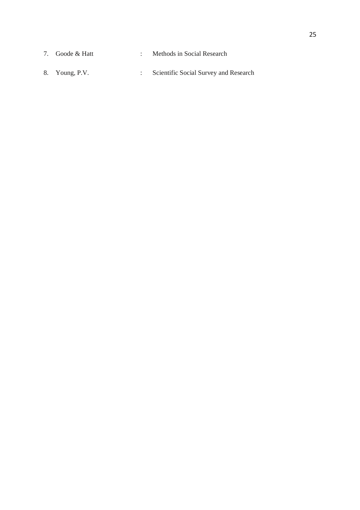- 7. Goode & Hatt : Methods in Social Research
- 8. Young, P.V. : Scientific Social Survey and Research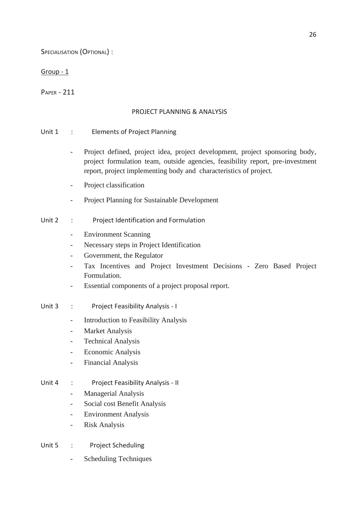SPECIALISATION (OPTIONAL) :

#### Group - 1

PAPER - 211

#### PROJECT PLANNING & ANALYSIS

#### Unit 1 : Elements of Project Planning

- Project defined, project idea, project development, project sponsoring body, project formulation team, outside agencies, feasibility report, pre-investment report, project implementing body and characteristics of project.
- Project classification
- Project Planning for Sustainable Development
- Unit 2 : Project Identification and Formulation
	- Environment Scanning
	- Necessary steps in Project Identification
	- Government, the Regulator
	- Tax Incentives and Project Investment Decisions Zero Based Project Formulation.
	- Essential components of a project proposal report.
- Unit 3 : Project Feasibility Analysis I
	- Introduction to Feasibility Analysis
	- Market Analysis
	- Technical Analysis
	- Economic Analysis
	- Financial Analysis
- Unit 4 : Project Feasibility Analysis II
	- Managerial Analysis
	- Social cost Benefit Analysis
	- Environment Analysis
	- Risk Analysis
- Unit 5 : Project Scheduling
	- Scheduling Techniques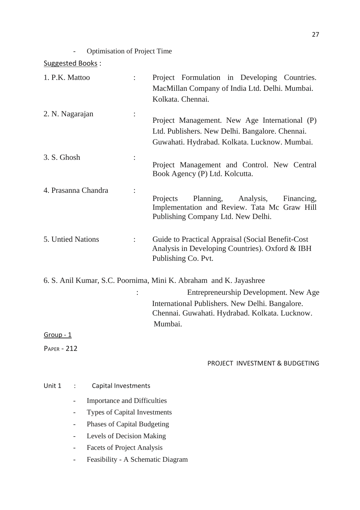- Optimisation of Project Time

| 1. P.K. Mattoo                                                                                                                                   | Project Formulation in Developing Countries.<br>MacMillan Company of India Ltd. Delhi. Mumbai.<br>Kolkata. Chennai.                                                                                                        |
|--------------------------------------------------------------------------------------------------------------------------------------------------|----------------------------------------------------------------------------------------------------------------------------------------------------------------------------------------------------------------------------|
| 2. N. Nagarajan                                                                                                                                  | Project Management. New Age International (P)<br>Ltd. Publishers. New Delhi. Bangalore. Chennai.<br>Guwahati. Hydrabad. Kolkata. Lucknow. Mumbai.                                                                          |
| 3. S. Ghosh                                                                                                                                      | Project Management and Control. New Central<br>Book Agency (P) Ltd. Kolcutta.                                                                                                                                              |
| 4. Prasanna Chandra                                                                                                                              | Projects<br>Planning,<br>Analysis,<br>Financing,<br>Implementation and Review. Tata Mc Graw Hill<br>Publishing Company Ltd. New Delhi.                                                                                     |
| 5. Untied Nations<br>÷                                                                                                                           | Guide to Practical Appraisal (Social Benefit-Cost<br>Analysis in Developing Countries). Oxford & IBH<br>Publishing Co. Pvt.                                                                                                |
|                                                                                                                                                  | 6. S. Anil Kumar, S.C. Poornima, Mini K. Abraham and K. Jayashree<br>Entrepreneurship Development. New Age<br>International Publishers. New Delhi. Bangalore.<br>Chennai. Guwahati. Hydrabad. Kolkata. Lucknow.<br>Mumbai. |
| $Group-1$                                                                                                                                        |                                                                                                                                                                                                                            |
| <b>PAPER - 212</b>                                                                                                                               |                                                                                                                                                                                                                            |
|                                                                                                                                                  | PROJECT INVESTMENT & BUDGETING                                                                                                                                                                                             |
| <b>Capital Investments</b><br>Unit 1<br><b>Importance and Difficulties</b><br>Types of Capital Investments<br><b>Phases of Capital Budgeting</b> |                                                                                                                                                                                                                            |
| Levels of Decision Making                                                                                                                        |                                                                                                                                                                                                                            |

- Facets of Project Analysis
- Feasibility A Schematic Diagram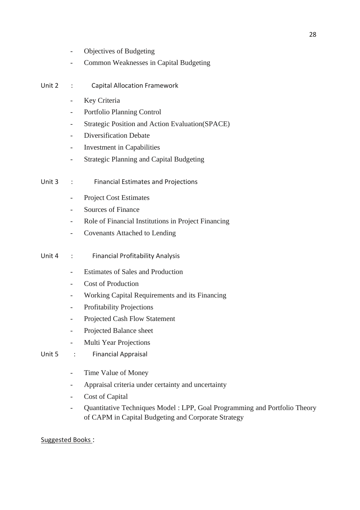- Objectives of Budgeting
- Common Weaknesses in Capital Budgeting
- Unit 2 : Capital Allocation Framework
	- Key Criteria
	- Portfolio Planning Control
	- Strategic Position and Action Evaluation(SPACE)
	- Diversification Debate
	- Investment in Capabilities
	- Strategic Planning and Capital Budgeting
- Unit 3 : Financial Estimates and Projections
	- Project Cost Estimates
	- Sources of Finance
	- Role of Financial Institutions in Project Financing
	- Covenants Attached to Lending
- Unit 4 : Financial Profitability Analysis
	- Estimates of Sales and Production
	- Cost of Production
	- Working Capital Requirements and its Financing
	- Profitability Projections
	- Projected Cash Flow Statement
	- Projected Balance sheet
	- Multi Year Projections
- Unit 5 : Financial Appraisal
	- Time Value of Money
	- Appraisal criteria under certainty and uncertainty
	- Cost of Capital
	- Quantitative Techniques Model : LPP, Goal Programming and Portfolio Theory of CAPM in Capital Budgeting and Corporate Strategy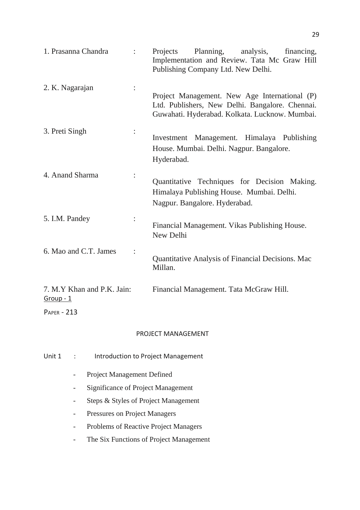| 1. Prasanna Chandra                                           | Planning,<br>analysis,<br>financing,<br>Projects<br>Implementation and Review. Tata Mc Graw Hill<br>Publishing Company Ltd. New Delhi.             |
|---------------------------------------------------------------|----------------------------------------------------------------------------------------------------------------------------------------------------|
| 2. K. Nagarajan                                               | Project Management. New Age International (P)<br>Ltd. Publishers, New Delhi. Bangalore. Chennai.<br>Guwahati. Hyderabad. Kolkata. Lucknow. Mumbai. |
| 3. Preti Singh                                                | Investment Management. Himalaya Publishing<br>House. Mumbai. Delhi. Nagpur. Bangalore.<br>Hyderabad.                                               |
| 4. Anand Sharma                                               | Quantitative Techniques for Decision Making.<br>Himalaya Publishing House. Mumbai. Delhi.<br>Nagpur. Bangalore. Hyderabad.                         |
| 5. I.M. Pandey                                                | Financial Management. Vikas Publishing House.<br>New Delhi                                                                                         |
| 6. Mao and C.T. James                                         | Quantitative Analysis of Financial Decisions. Mac<br>Millan.                                                                                       |
| 7. M.Y Khan and P.K. Jain:<br>$Group-1$<br><b>PAPER - 213</b> | Financial Management. Tata McGraw Hill.                                                                                                            |
|                                                               | DDAIECT MANNACEMENT                                                                                                                                |

#### PROJECT MANAGEMENT

| Unit $1$ : | Introduction to Project Management |
|------------|------------------------------------|
|            | <b>Project Management Defined</b>  |

- Significance of Project Management
- Steps & Styles of Project Management
- Pressures on Project Managers
- Problems of Reactive Project Managers
- The Six Functions of Project Management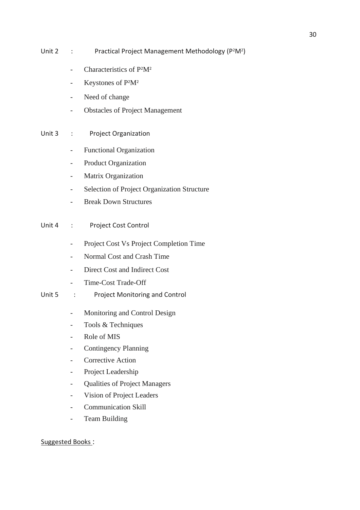- Unit 2 : Practical Project Management Methodology (P<sup>2</sup>M<sup>2</sup>)
	- Characteristics of P2M<sup>2</sup>
	- Keystones of P2M<sup>2</sup>
	- Need of change
	- Obstacles of Project Management
- Unit 3 : Project Organization
	- Functional Organization
	- Product Organization
	- Matrix Organization
	- Selection of Project Organization Structure
	- Break Down Structures
- Unit 4 : Project Cost Control
	- Project Cost Vs Project Completion Time
	- Normal Cost and Crash Time
	- Direct Cost and Indirect Cost
	- Time-Cost Trade-Off
- Unit 5 : Project Monitoring and Control
	- Monitoring and Control Design
	- Tools & Techniques
	- Role of MIS
	- Contingency Planning
	- Corrective Action
	- Project Leadership
	- Qualities of Project Managers
	- Vision of Project Leaders
	- Communication Skill
	- Team Building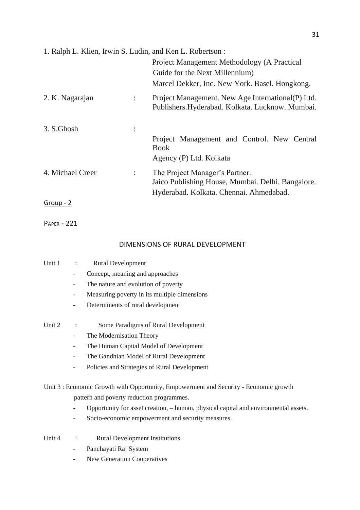| 1. Ralph L. Klien, Irwin S. Ludin, and Ken L. Robertson: |                |                                                                                                        |
|----------------------------------------------------------|----------------|--------------------------------------------------------------------------------------------------------|
|                                                          |                | Project Management Methodology (A Practical                                                            |
|                                                          |                | Guide for the Next Millennium)                                                                         |
|                                                          |                | Marcel Dekker, Inc. New York. Basel. Hongkong.                                                         |
| 2. K. Nagarajan                                          |                | Project Management. New Age International (P) Ltd.<br>Publishers. Hyderabad. Kolkata. Lucknow. Mumbai. |
| 3. S.Ghosh                                               |                |                                                                                                        |
|                                                          |                | Project Management and Control. New Central<br><b>Book</b>                                             |
|                                                          |                | Agency (P) Ltd. Kolkata                                                                                |
| 4. Michael Creer                                         | $\ddot{\cdot}$ | The Project Manager's Partner.<br>Jaico Publishing House, Mumbai. Delhi. Bangalore.                    |
|                                                          |                | Hyderabad. Kolkata. Chennai. Ahmedabad.                                                                |
| Group - 2                                                |                |                                                                                                        |

PAPER - 221

### DIMENSIONS OF RURAL DEVELOPMENT

| Unit 1 | $\ddot{\phantom{a}}$     | <b>Rural Development</b>                                                              |
|--------|--------------------------|---------------------------------------------------------------------------------------|
|        |                          | Concept, meaning and approaches                                                       |
|        | -                        | The nature and evolution of poverty                                                   |
|        |                          | Measuring poverty in its multiple dimensions                                          |
|        |                          | Determinents of rural development                                                     |
| Unit 2 |                          | Some Paradigms of Rural Development                                                   |
|        |                          | The Modernisation Theory                                                              |
|        |                          | The Human Capital Model of Development                                                |
|        |                          | The Gandhian Model of Rural Development                                               |
|        |                          | Policies and Strategies of Rural Development                                          |
|        |                          | Unit 3 : Economic Growth with Opportunity, Empowerment and Security - Economic growth |
|        |                          | pattern and poverty reduction programmes.                                             |
|        |                          | Opportunity for asset creation, - human, physical capital and environmental assets.   |
|        |                          | Socio-economic empowerment and security measures.                                     |
| Unit 4 | $\ddot{\cdot}$           | <b>Rural Development Institutions</b>                                                 |
|        |                          | Panchayati Raj System                                                                 |
|        | $\overline{\phantom{a}}$ | <b>New Generation Cooperatives</b>                                                    |
|        |                          |                                                                                       |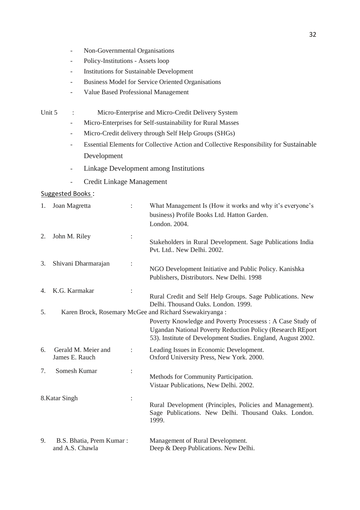- Non-Governmental Organisations
- Policy-Institutions Assets loop
- Institutions for Sustainable Development
- Business Model for Service Oriented Organisations
- Value Based Professional Management
- Unit 5 : Micro-Enterprise and Micro-Credit Delivery System
	- Micro-Enterprises for Self-sustainability for Rural Masses
	- Micro-Credit delivery through Self Help Groups (SHGs)
	- Essential Elements for Collective Action and Collective Responsibility for Sustainable Development
	- Linkage Development among Institutions
	- Credit Linkage Management

| 1. | Joan Magretta                               |                | What Management Is (How it works and why it's everyone's<br>business) Profile Books Ltd. Hatton Garden.<br>London. 2004.                                                                       |
|----|---------------------------------------------|----------------|------------------------------------------------------------------------------------------------------------------------------------------------------------------------------------------------|
| 2. | John M. Riley                               |                | Stakeholders in Rural Development. Sage Publications India<br>Pvt. Ltd New Delhi. 2002.                                                                                                        |
| 3. | Shivani Dharmarajan                         |                | NGO Development Initiative and Public Policy. Kanishka<br>Publishers, Distributors. New Delhi. 1998                                                                                            |
| 4. | K.G. Karmakar                               |                | Rural Credit and Self Help Groups. Sage Publications. New<br>Delhi. Thousand Oaks. London. 1999.                                                                                               |
| 5. |                                             |                | Karen Brock, Rosemary McGee and Richard Ssewakiryanga:                                                                                                                                         |
|    |                                             |                | Poverty Knowledge and Poverty Processess: A Case Study of<br><b>Ugandan National Poverty Reduction Policy (Research REport</b><br>53). Institute of Development Studies. England, August 2002. |
| 6. | Gerald M. Meier and<br>James E. Rauch       |                | Leading Issues in Economic Development.<br>Oxford University Press, New York. 2000.                                                                                                            |
| 7. | Somesh Kumar                                | $\ddot{\cdot}$ | Methods for Community Participation.<br>Vistaar Publications, New Delhi. 2002.                                                                                                                 |
|    | 8.Katar Singh                               | $\ddot{\cdot}$ | Rural Development (Principles, Policies and Management).<br>Sage Publications. New Delhi. Thousand Oaks. London.<br>1999.                                                                      |
| 9. | B.S. Bhatia, Prem Kumar:<br>and A.S. Chawla |                | Management of Rural Development.<br>Deep & Deep Publications. New Delhi.                                                                                                                       |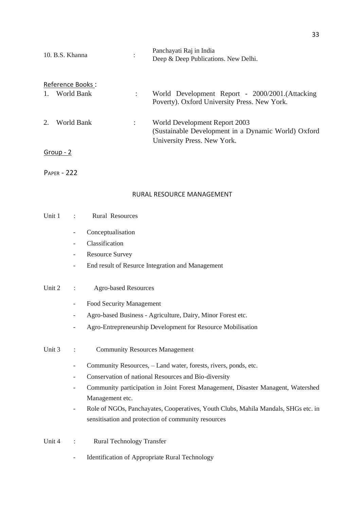| 10. B.S. Khanna                      | : | Panchayati Raj in India<br>Deep & Deep Publications. New Delhi.                                                     |
|--------------------------------------|---|---------------------------------------------------------------------------------------------------------------------|
| Reference Books:<br>World Bank<br>1. | ÷ | World Development Report - 2000/2001. (Attacking<br>Poverty). Oxford University Press. New York.                    |
| $2^{\circ}$<br>World Bank            |   | World Development Report 2003<br>(Sustainable Development in a Dynamic World) Oxford<br>University Press. New York. |
| Group - 2                            |   |                                                                                                                     |

PAPER - 222

#### RURAL RESOURCE MANAGEMENT

| Unit 1<br>Rural Resources |
|---------------------------|
|---------------------------|

- Conceptualisation
- Classification
- Resource Survey
- End result of Resurce Integration and Management

#### Unit 2 : Agro-based Resources

- Food Security Management
- Agro-based Business Agriculture, Dairy, Minor Forest etc.
- Agro-Entrepreneurship Development for Resource Mobilisation
- Unit 3 : Community Resources Management
	- Community Resources, Land water, forests, rivers, ponds, etc.
	- Conservation of national Resources and Bio-diversity
	- Community participation in Joint Forest Management, Disaster Managent, Watershed Management etc.
	- Role of NGOs, Panchayates, Cooperatives, Youth Clubs, Mahila Mandals, SHGs etc. in sensitisation and protection of community resources
- Unit 4 : Rural Technology Transfer
	- Identification of Appropriate Rural Technology